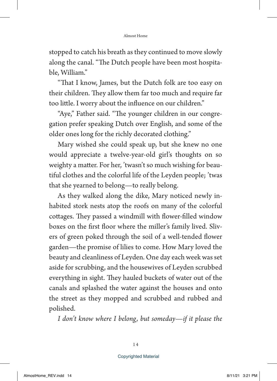stopped to catch his breath as they continued to move slowly along the canal. "The Dutch people have been most hospitable, William."

"That I know, James, but the Dutch folk are too easy on their children. They allow them far too much and require far too little. I worry about the influence on our children."

"Aye," Father said. "The younger children in our congregation prefer speaking Dutch over English, and some of the older ones long for the richly decorated clothing."

Mary wished she could speak up, but she knew no one would appreciate a twelve-year-old girl's thoughts on so weighty a matter. For her, 'twasn't so much wishing for beautiful clothes and the colorful life of the Leyden people; 'twas that she yearned to belong—to really belong.

As they walked along the dike, Mary noticed newly inhabited stork nests atop the roofs on many of the colorful cottages. They passed a windmill with flower-filled window boxes on the first floor where the miller's family lived. Slivers of green poked through the soil of a well-tended flower garden—the promise of lilies to come. How Mary loved the beauty and cleanliness of Leyden. One day each week was set aside for scrubbing, and the housewives of Leyden scrubbed everything in sight. They hauled buckets of water out of the canals and splashed the water against the houses and onto the street as they mopped and scrubbed and rubbed and polished.

*I don't know where I belong, but someday—if it please the*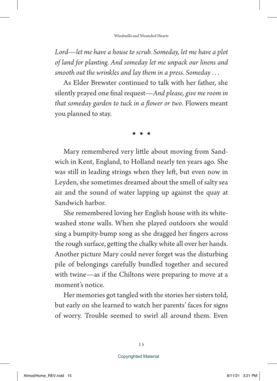*Lord—let me have a house to scrub. Someday, let me have a plot of land for planting. And someday let me unpack our linens and smooth out the wrinkles and lay them in a press. Someday . . .*

As Elder Brewster continued to talk with her father, she silently prayed one final request—*And please, give me room in that someday garden to tuck in a flower or two*. Flowers meant you planned to stay.

 $\bullet\quad\bullet\quad\bullet$ 

Mary remembered very little about moving from Sandwich in Kent, England, to Holland nearly ten years ago. She was still in leading strings when they left, but even now in Leyden, she sometimes dreamed about the smell of salty sea air and the sound of water lapping up against the quay at Sandwich harbor.

She remembered loving her English house with its whitewashed stone walls. When she played outdoors she would sing a bumpity-bump song as she dragged her fingers across the rough surface, getting the chalky white all over her hands. Another picture Mary could never forget was the disturbing pile of belongings carefully bundled together and secured with twine—as if the Chiltons were preparing to move at a moment's notice.

Her memories got tangled with the stories her sisters told, but early on she learned to watch her parents' faces for signs of worry. Trouble seemed to swirl all around them. Even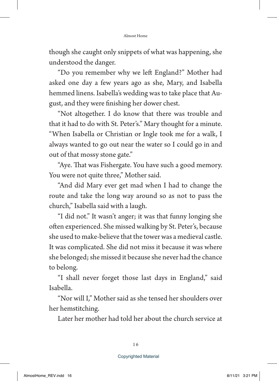though she caught only snippets of what was happening, she understood the danger.

"Do you remember why we left England?" Mother had asked one day a few years ago as she, Mary, and Isabella hemmed linens. Isabella's wedding was to take place that August, and they were finishing her dower chest.

"Not altogether. I do know that there was trouble and that it had to do with St. Peter's." Mary thought for a minute. "When Isabella or Christian or Ingle took me for a walk, I always wanted to go out near the water so I could go in and out of that mossy stone gate."

"Aye. That was Fishergate. You have such a good memory. You were not quite three," Mother said.

"And did Mary ever get mad when I had to change the route and take the long way around so as not to pass the church," Isabella said with a laugh.

"I did not." It wasn't anger; it was that funny longing she often experienced. She missed walking by St. Peter's, because she used to make-believe that the tower was a medieval castle. It was complicated. She did not miss it because it was where she belonged; she missed it because she never had the chance to belong.

"I shall never forget those last days in England," said Isabella.

"Nor will I," Mother said as she tensed her shoulders over her hemstitching.

Later her mother had told her about the church service at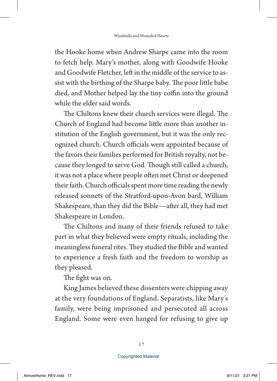the Hooke home when Andrew Sharpe came into the room to fetch help. Mary's mother, along with Goodwife Hooke and Goodwife Fletcher, left in the middle of the service to assist with the birthing of the Sharpe baby. The poor little babe died, and Mother helped lay the tiny coffin into the ground while the elder said words.

The Chiltons knew their church services were illegal. The Church of England had become little more than another institution of the English government, but it was the only recognized church. Church officials were appointed because of the favors their families performed for British royalty, not because they longed to serve God. Though still called a church, it was not a place where people often met Christ or deepened their faith. Church officials spent more time reading the newly released sonnets of the Stratford-upon-Avon bard, William Shakespeare, than they did the Bible—after all, they had met Shakespeare in London.

The Chiltons and many of their friends refused to take part in what they believed were empty rituals, including the meaningless funeral rites. They studied the Bible and wanted to experience a fresh faith and the freedom to worship as they pleased.

The fight was on.

King James believed these dissenters were chipping away at the very foundations of England. Separatists, like Mary's family, were being imprisoned and persecuted all across England. Some were even hanged for refusing to give up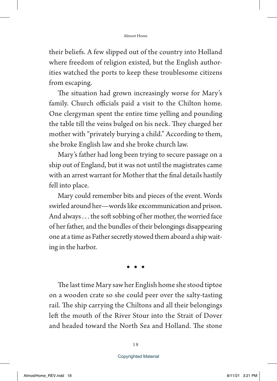their beliefs. A few slipped out of the country into Holland where freedom of religion existed, but the English authorities watched the ports to keep these troublesome citizens from escaping.

The situation had grown increasingly worse for Mary's family. Church officials paid a visit to the Chilton home. One clergyman spent the entire time yelling and pounding the table till the veins bulged on his neck. They charged her mother with "privately burying a child." According to them, she broke English law and she broke church law.

Mary's father had long been trying to secure passage on a ship out of England, but it was not until the magistrates came with an arrest warrant for Mother that the final details hastily fell into place.

Mary could remember bits and pieces of the event. Words swirled around her—words like excommunication and prison. And always . . . the soft sobbing of her mother, the worried face of her father, and the bundles of their belongings disappearing one at a time as Father secretly stowed them aboard a ship waiting in the harbor.

 $\bullet\quad\bullet\quad\bullet$ 

The last time Mary saw her English home she stood tiptoe on a wooden crate so she could peer over the salty-tasting rail. The ship carrying the Chiltons and all their belongings left the mouth of the River Stour into the Strait of Dover and headed toward the North Sea and Holland. The stone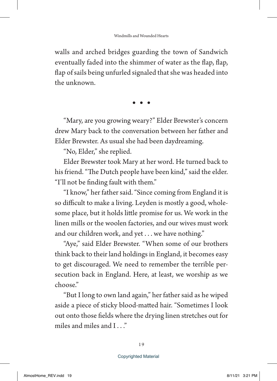walls and arched bridges guarding the town of Sandwich eventually faded into the shimmer of water as the flap, flap, flap of sails being unfurled signaled that she was headed into the unknown.

 $\bullet\quad\bullet\quad\bullet$ 

"Mary, are you growing weary?" Elder Brewster's concern drew Mary back to the conversation between her father and Elder Brewster. As usual she had been daydreaming.

"No, Elder," she replied.

Elder Brewster took Mary at her word. He turned back to his friend. "The Dutch people have been kind," said the elder. "I'll not be finding fault with them."

"I know," her father said. "Since coming from England it is so difficult to make a living. Leyden is mostly a good, wholesome place, but it holds little promise for us. We work in the linen mills or the woolen factories, and our wives must work and our children work, and yet . . . we have nothing."

"Aye," said Elder Brewster. "When some of our brothers think back to their land holdings in England, it becomes easy to get discouraged. We need to remember the terrible persecution back in England. Here, at least, we worship as we choose."

"But I long to own land again," her father said as he wiped aside a piece of sticky blood-matted hair. "Sometimes I look out onto those fields where the drying linen stretches out for miles and miles and I . . ."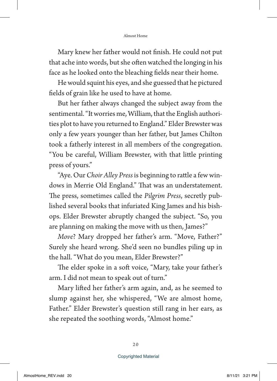Mary knew her father would not finish. He could not put that ache into words, but she often watched the longing in his face as he looked onto the bleaching fields near their home.

He would squint his eyes, and she guessed that he pictured fields of grain like he used to have at home.

But her father always changed the subject away from the sentimental. "It worries me, William, that the English authorities plot to have you returned to England." Elder Brewster was only a few years younger than her father, but James Chilton took a fatherly interest in all members of the congregation. "You be careful, William Brewster, with that little printing press of yours."

"Aye. Our *Choir Alley Press* is beginning to rattle a few windows in Merrie Old England." That was an understatement. The press, sometimes called the *Pilgrim Press*, secretly published several books that infuriated King James and his bishops. Elder Brewster abruptly changed the subject. "So, you are planning on making the move with us then, James?"

*Move*? Mary dropped her father's arm. "Move, Father?" Surely she heard wrong. She'd seen no bundles piling up in the hall. "What do you mean, Elder Brewster?"

The elder spoke in a soft voice, "Mary, take your father's arm. I did not mean to speak out of turn."

Mary lifted her father's arm again, and, as he seemed to slump against her, she whispered, "We are almost home, Father." Elder Brewster's question still rang in her ears, as she repeated the soothing words, "Almost home."